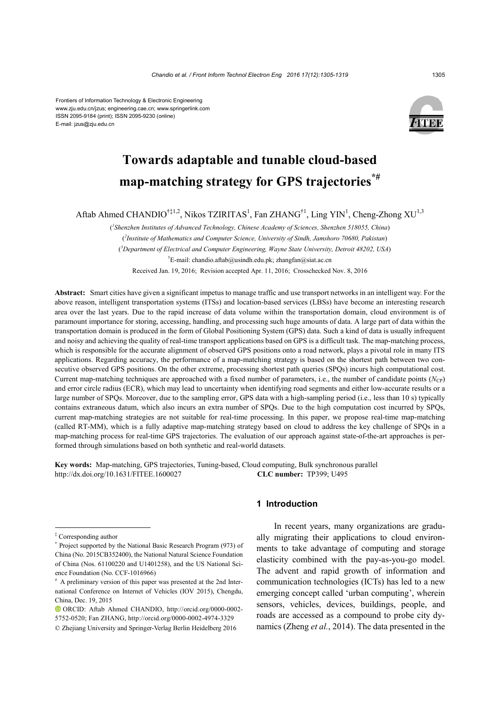Frontiers of Information Technology & Electronic Engineering www.zju.edu.cn/jzus; engineering.cae.cn; www.springerlink.com ISSN 2095-9184 (print); ISSN 2095-9230 (online) E-mail: jzus@zju.edu.cn



# **Towards adaptable and tunable cloud-based map-matching strategy for GPS trajectories\*#**

Aftab Ahmed CHANDIO<sup>†‡1,2</sup>, Nikos TZIRITAS<sup>1</sup>, Fan ZHANG<sup>†1</sup>, Ling YIN<sup>1</sup>, Cheng-Zhong XU<sup>1,3</sup>

( *1 Shenzhen Institutes of Advanced Technology, Chinese Academy of Sciences, Shenzhen 518055, China*) ( *2 Institute of Mathematics and Computer Science, University of Sindh, Jamshoro 70680, Pakistan*) ( *3 Department of Electrical and Computer Engineering, Wayne State University, Detroit 48202, USA*) † E-mail: chandio.aftab@usindh.edu.pk; zhangfan@siat.ac.cn Received Jan. 19, 2016; Revision accepted Apr. 11, 2016; Crosschecked Nov. 8, 2016

**Abstract:** Smart cities have given a significant impetus to manage traffic and use transport networks in an intelligent way. For the above reason, intelligent transportation systems (ITSs) and location-based services (LBSs) have become an interesting research area over the last years. Due to the rapid increase of data volume within the transportation domain, cloud environment is of paramount importance for storing, accessing, handling, and processing such huge amounts of data. A large part of data within the transportation domain is produced in the form of Global Positioning System (GPS) data. Such a kind of data is usually infrequent and noisy and achieving the quality of real-time transport applications based on GPS is a difficult task. The map-matching process, which is responsible for the accurate alignment of observed GPS positions onto a road network, plays a pivotal role in many ITS applications. Regarding accuracy, the performance of a map-matching strategy is based on the shortest path between two consecutive observed GPS positions. On the other extreme, processing shortest path queries (SPQs) incurs high computational cost. Current map-matching techniques are approached with a fixed number of parameters, i.e., the number of candidate points  $(N_{CP})$ and error circle radius (ECR), which may lead to uncertainty when identifying road segments and either low-accurate results or a large number of SPQs. Moreover, due to the sampling error, GPS data with a high-sampling period (i.e., less than 10 s) typically contains extraneous datum, which also incurs an extra number of SPQs. Due to the high computation cost incurred by SPQs, current map-matching strategies are not suitable for real-time processing. In this paper, we propose real-time map-matching (called RT-MM), which is a fully adaptive map-matching strategy based on cloud to address the key challenge of SPQs in a map-matching process for real-time GPS trajectories. The evaluation of our approach against state-of-the-art approaches is performed through simulations based on both synthetic and real-world datasets.

**Key words:** Map-matching, GPS trajectories, Tuning-based, Cloud computing, Bulk synchronous parallel http://dx.doi.org/10.1631/FITEE.1600027 **CLC number:** TP399; U495

# **1 Introduction**

In recent years, many organizations are gradually migrating their applications to cloud environments to take advantage of computing and storage elasticity combined with the pay-as-you-go model. The advent and rapid growth of information and communication technologies (ICTs) has led to a new emerging concept called 'urban computing', wherein sensors, vehicles, devices, buildings, people, and roads are accessed as a compound to probe city dynamics (Zheng *et al.*, 2014). The data presented in the

<sup>‡</sup> Corresponding author

<sup>\*</sup> Project supported by the National Basic Research Program (973) of China (No. 2015CB352400), the National Natural Science Foundation of China (Nos. 61100220 and U1401258), and the US National Science Foundation (No. CCF-1016966)

<sup>#</sup> A preliminary version of this paper was presented at the 2nd International Conference on Internet of Vehicles (IOV 2015), Chengdu, China, Dec. 19, 2015

ORCID: Aftab Ahmed CHANDIO, http://orcid.org/0000-0002- 5752-0520; Fan ZHANG, http://orcid.org/0000-0002-4974-3329

<sup>©</sup> Zhejiang University and Springer-Verlag Berlin Heidelberg 2016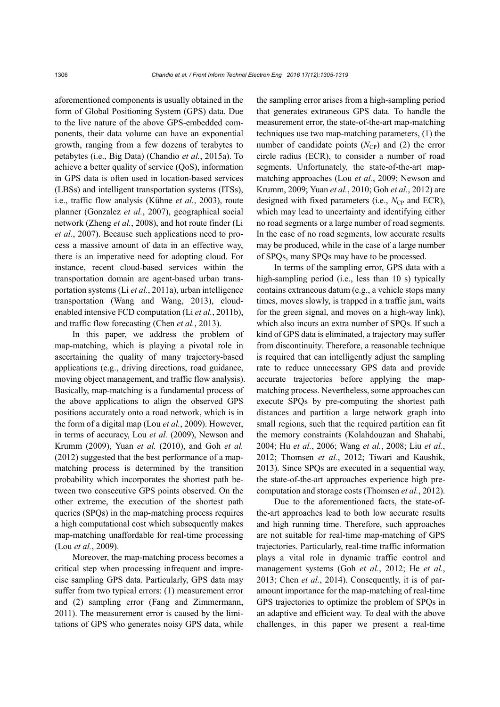aforementioned components is usually obtained in the form of Global Positioning System (GPS) data. Due to the live nature of the above GPS-embedded components, their data volume can have an exponential growth, ranging from a few dozens of terabytes to petabytes (i.e., Big Data) (Chandio *et al.*, 2015a). To achieve a better quality of service (QoS), information in GPS data is often used in location-based services (LBSs) and intelligent transportation systems (ITSs), i.e., traffic flow analysis (Kühne *et al.*, 2003), route planner (Gonzalez *et al.*, 2007), geographical social network (Zheng *et al.*, 2008), and hot route finder (Li *et al.*, 2007). Because such applications need to process a massive amount of data in an effective way, there is an imperative need for adopting cloud. For instance, recent cloud-based services within the transportation domain are agent-based urban transportation systems (Li *et al.*, 2011a), urban intelligence transportation (Wang and Wang, 2013), cloudenabled intensive FCD computation (Li *et al.*, 2011b), and traffic flow forecasting (Chen *et al.*, 2013).

In this paper, we address the problem of map-matching, which is playing a pivotal role in ascertaining the quality of many trajectory-based applications (e.g., driving directions, road guidance, moving object management, and traffic flow analysis). Basically, map-matching is a fundamental process of the above applications to align the observed GPS positions accurately onto a road network, which is in the form of a digital map (Lou *et al.*, 2009). However, in terms of accuracy, Lou *et al.* (2009), Newson and Krumm (2009), Yuan *et al.* (2010), and Goh *et al.* (2012) suggested that the best performance of a mapmatching process is determined by the transition probability which incorporates the shortest path between two consecutive GPS points observed. On the other extreme, the execution of the shortest path queries (SPQs) in the map-matching process requires a high computational cost which subsequently makes map-matching unaffordable for real-time processing (Lou *et al.*, 2009).

Moreover, the map-matching process becomes a critical step when processing infrequent and imprecise sampling GPS data. Particularly, GPS data may suffer from two typical errors: (1) measurement error and (2) sampling error (Fang and Zimmermann, 2011). The measurement error is caused by the limitations of GPS who generates noisy GPS data, while the sampling error arises from a high-sampling period that generates extraneous GPS data. To handle the measurement error, the state-of-the-art map-matching techniques use two map-matching parameters, (1) the number of candidate points  $(N_{CP})$  and (2) the error circle radius (ECR), to consider a number of road segments. Unfortunately, the state-of-the-art mapmatching approaches (Lou *et al.*, 2009; Newson and Krumm, 2009; Yuan *et al.*, 2010; Goh *et al.*, 2012) are designed with fixed parameters (i.e., *N*<sub>CP</sub> and ECR), which may lead to uncertainty and identifying either no road segments or a large number of road segments. In the case of no road segments, low accurate results may be produced, while in the case of a large number of SPQs, many SPQs may have to be processed.

In terms of the sampling error, GPS data with a high-sampling period (i.e., less than 10 s) typically contains extraneous datum (e.g., a vehicle stops many times, moves slowly, is trapped in a traffic jam, waits for the green signal, and moves on a high-way link), which also incurs an extra number of SPQs. If such a kind of GPS data is eliminated, a trajectory may suffer from discontinuity. Therefore, a reasonable technique is required that can intelligently adjust the sampling rate to reduce unnecessary GPS data and provide accurate trajectories before applying the mapmatching process. Nevertheless, some approaches can execute SPQs by pre-computing the shortest path distances and partition a large network graph into small regions, such that the required partition can fit the memory constraints (Kolahdouzan and Shahabi, 2004; Hu *et al.*, 2006; Wang *et al.*, 2008; Liu *et al.*, 2012; Thomsen *et al.*, 2012; Tiwari and Kaushik, 2013). Since SPQs are executed in a sequential way, the state-of-the-art approaches experience high precomputation and storage costs (Thomsen *et al.*, 2012).

Due to the aforementioned facts, the state-ofthe-art approaches lead to both low accurate results and high running time. Therefore, such approaches are not suitable for real-time map-matching of GPS trajectories. Particularly, real-time traffic information plays a vital role in dynamic traffic control and management systems (Goh *et al.*, 2012; He *et al.*, 2013; Chen *et al.*, 2014). Consequently, it is of paramount importance for the map-matching of real-time GPS trajectories to optimize the problem of SPQs in an adaptive and efficient way. To deal with the above challenges, in this paper we present a real-time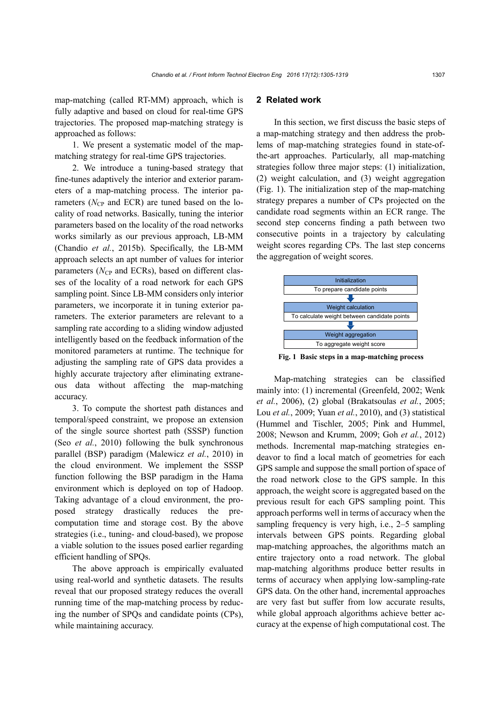map-matching (called RT-MM) approach, which is fully adaptive and based on cloud for real-time GPS trajectories. The proposed map-matching strategy is approached as follows:

1. We present a systematic model of the mapmatching strategy for real-time GPS trajectories.

2. We introduce a tuning-based strategy that fine-tunes adaptively the interior and exterior parameters of a map-matching process. The interior parameters  $(N_{CP}$  and ECR) are tuned based on the locality of road networks. Basically, tuning the interior parameters based on the locality of the road networks works similarly as our previous approach, LB-MM (Chandio *et al.*, 2015b). Specifically, the LB-MM approach selects an apt number of values for interior parameters  $(N_{CP}$  and ECRs), based on different classes of the locality of a road network for each GPS sampling point. Since LB-MM considers only interior parameters, we incorporate it in tuning exterior parameters. The exterior parameters are relevant to a sampling rate according to a sliding window adjusted intelligently based on the feedback information of the monitored parameters at runtime. The technique for adjusting the sampling rate of GPS data provides a highly accurate trajectory after eliminating extraneous data without affecting the map-matching accuracy.

3. To compute the shortest path distances and temporal/speed constraint, we propose an extension of the single source shortest path (SSSP) function (Seo *et al.*, 2010) following the bulk synchronous parallel (BSP) paradigm (Malewicz *et al.*, 2010) in the cloud environment. We implement the SSSP function following the BSP paradigm in the Hama environment which is deployed on top of Hadoop. Taking advantage of a cloud environment, the proposed strategy drastically reduces the precomputation time and storage cost. By the above strategies (i.e., tuning- and cloud-based), we propose a viable solution to the issues posed earlier regarding efficient handling of SPQs.

The above approach is empirically evaluated using real-world and synthetic datasets. The results reveal that our proposed strategy reduces the overall running time of the map-matching process by reducing the number of SPQs and candidate points (CPs), while maintaining accuracy.

## **2 Related work**

In this section, we first discuss the basic steps of a map-matching strategy and then address the problems of map-matching strategies found in state-ofthe-art approaches. Particularly, all map-matching strategies follow three major steps: (1) initialization, (2) weight calculation, and (3) weight aggregation (Fig. 1). The initialization step of the map-matching strategy prepares a number of CPs projected on the candidate road segments within an ECR range. The second step concerns finding a path between two consecutive points in a trajectory by calculating weight scores regarding CPs. The last step concerns the aggregation of weight scores.



**Fig. 1 Basic steps in a map-matching process**

Map-matching strategies can be classified mainly into: (1) incremental (Greenfeld, 2002; Wenk *et al.*, 2006), (2) global (Brakatsoulas *et al.*, 2005; Lou *et al.*, 2009; Yuan *et al.*, 2010), and (3) statistical (Hummel and Tischler, 2005; Pink and Hummel, 2008; Newson and Krumm, 2009; Goh *et al.*, 2012) methods. Incremental map-matching strategies endeavor to find a local match of geometries for each GPS sample and suppose the small portion of space of the road network close to the GPS sample. In this approach, the weight score is aggregated based on the previous result for each GPS sampling point. This approach performs well in terms of accuracy when the sampling frequency is very high, i.e., 2–5 sampling intervals between GPS points. Regarding global map-matching approaches, the algorithms match an entire trajectory onto a road network. The global map-matching algorithms produce better results in terms of accuracy when applying low-sampling-rate GPS data. On the other hand, incremental approaches are very fast but suffer from low accurate results, while global approach algorithms achieve better accuracy at the expense of high computational cost. The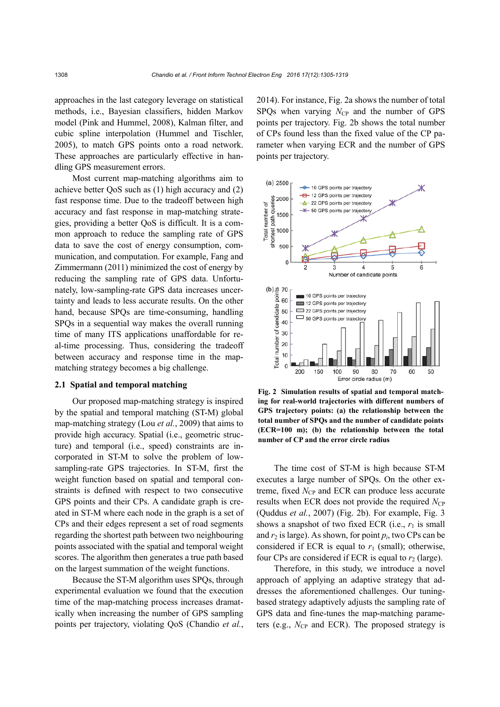approaches in the last category leverage on statistical methods, i.e., Bayesian classifiers, hidden Markov model (Pink and Hummel, 2008), Kalman filter, and cubic spline interpolation (Hummel and Tischler, 2005), to match GPS points onto a road network. These approaches are particularly effective in handling GPS measurement errors.

Most current map-matching algorithms aim to achieve better QoS such as (1) high accuracy and (2) fast response time. Due to the tradeoff between high accuracy and fast response in map-matching strategies, providing a better QoS is difficult. It is a common approach to reduce the sampling rate of GPS data to save the cost of energy consumption, communication, and computation. For example, Fang and Zimmermann (2011) minimized the cost of energy by reducing the sampling rate of GPS data. Unfortunately, low-sampling-rate GPS data increases uncertainty and leads to less accurate results. On the other hand, because SPQs are time-consuming, handling SPQs in a sequential way makes the overall running time of many ITS applications unaffordable for real-time processing. Thus, considering the tradeoff between accuracy and response time in the mapmatching strategy becomes a big challenge.

### **2.1 Spatial and temporal matching**

Our proposed map-matching strategy is inspired by the spatial and temporal matching (ST-M) global map-matching strategy (Lou *et al.*, 2009) that aims to provide high accuracy. Spatial (i.e., geometric structure) and temporal (i.e., speed) constraints are incorporated in ST-M to solve the problem of lowsampling-rate GPS trajectories. In ST-M, first the weight function based on spatial and temporal constraints is defined with respect to two consecutive GPS points and their CPs. A candidate graph is created in ST-M where each node in the graph is a set of CPs and their edges represent a set of road segments regarding the shortest path between two neighbouring points associated with the spatial and temporal weight scores. The algorithm then generates a true path based on the largest summation of the weight functions.

Because the ST-M algorithm uses SPQs, through experimental evaluation we found that the execution time of the map-matching process increases dramatically when increasing the number of GPS sampling points per trajectory, violating QoS (Chandio *et al.*, 2014). For instance, Fig. 2a shows the number of total SPQs when varying  $N_{\text{CP}}$  and the number of GPS points per trajectory. Fig. 2b shows the total number of CPs found less than the fixed value of the CP parameter when varying ECR and the number of GPS points per trajectory.



**Fig. 2 Simulation results of spatial and temporal matching for real-world trajectories with different numbers of GPS trajectory points: (a) the relationship between the total number of SPQs and the number of candidate points (ECR=100 m); (b) the relationship between the total number of CP and the error circle radius**

The time cost of ST-M is high because ST-M executes a large number of SPQs. On the other extreme, fixed  $N_{\text{CP}}$  and ECR can produce less accurate results when ECR does not provide the required  $N_{CP}$ (Quddus *et al.*, 2007) (Fig. 2b). For example, Fig. 3 shows a snapshot of two fixed ECR (i.e.,  $r_1$  is small and  $r_2$  is large). As shown, for point  $p_i$ , two CPs can be considered if ECR is equal to  $r_1$  (small); otherwise, four CPs are considered if ECR is equal to  $r_2$  (large).

Therefore, in this study, we introduce a novel approach of applying an adaptive strategy that addresses the aforementioned challenges. Our tuningbased strategy adaptively adjusts the sampling rate of GPS data and fine-tunes the map-matching parameters (e.g.,  $N_{\rm CP}$  and ECR). The proposed strategy is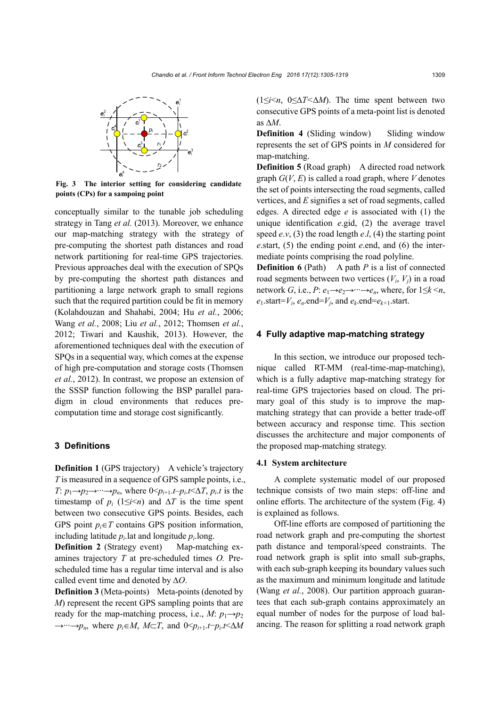

**Fig. 3 The interior setting for considering candidate points (CPs) for a sampoing point**

conceptually similar to the tunable job scheduling strategy in Tang *et al.* (2013). Moreover, we enhance our map-matching strategy with the strategy of pre-computing the shortest path distances and road network partitioning for real-time GPS trajectories. Previous approaches deal with the execution of SPQs by pre-computing the shortest path distances and partitioning a large network graph to small regions such that the required partition could be fit in memory (Kolahdouzan and Shahabi, 2004; Hu *et al.*, 2006; Wang *et al.*, 2008; Liu *et al.*, 2012; Thomsen *et al.*, 2012; Tiwari and Kaushik, 2013). However, the aforementioned techniques deal with the execution of SPQs in a sequential way, which comes at the expense of high pre-computation and storage costs (Thomsen *et al.*, 2012). In contrast, we propose an extension of the SSSP function following the BSP parallel paradigm in cloud environments that reduces precomputation time and storage cost significantly.

# **3 Definitions**

**Definition 1** (GPS trajectory) A vehicle's trajectory *T* is measured in a sequence of GPS sample points, i.e., *T*:  $p_1 \rightarrow p_2 \rightarrow \cdots \rightarrow p_n$ , where  $0 \leq p_{i+1}.t \rightarrow p_i. t \leq \Delta T$ ,  $p_i.t$  is the timestamp of  $p_i$  (1≤*i*<*n*) and  $\Delta T$  is the time spent between two consecutive GPS points. Besides, each GPS point  $p_i \in T$  contains GPS position information, including latitude  $p_i$ . lat and longitude  $p_i$ . long.

**Definition 2** (Strategy event) Map-matching examines trajectory *T* at pre-scheduled times *O.* Prescheduled time has a regular time interval and is also called event time and denoted by ∆*O*.

**Definition 3** (Meta-points) Meta-points (denoted by *M*) represent the recent GPS sampling points that are ready for the map-matching process, i.e., *M*:  $p_1 \rightarrow p_2$ →∙∙∙→*pn*, where *pi*∈*M*, *M*⊂*T*, and 0<*pi*+1.*t*−*pi*.*t*<∆*M* (1≤*i*<*n*, 0≤∆*T<*∆*M*). The time spent between two consecutive GPS points of a meta-point list is denoted as ∆*M*.

**Definition 4** (Sliding window) Sliding window represents the set of GPS points in *M* considered for map-matching.

**Definition 5** (Road graph) A directed road network graph  $G(V, E)$  is called a road graph, where *V* denotes the set of points intersecting the road segments, called vertices, and *E* signifies a set of road segments, called edges. A directed edge *e* is associated with (1) the unique identification *e*.gid, (2) the average travel speed *e*.*v*, (3) the road length *e*.*l*, (4) the starting point *e*.start, (5) the ending point *e*.end, and (6) the intermediate points comprising the road polyline.

**Definition 6** (Path) A path *P* is a list of connected road segments between two vertices  $(V_i, V_j)$  in a road network *G*, i.e., *P*:  $e_1 \rightarrow e_2 \rightarrow \cdots \rightarrow e_n$ , where, for  $1 \leq k \leq n$ ,  $e_1$ .start= $V_i$ ,  $e_n$ .end= $V_j$ , and  $e_k$ .end= $e_{k+1}$ .start.

# **4 Fully adaptive map-matching strategy**

In this section, we introduce our proposed technique called RT-MM (real-time-map-matching), which is a fully adaptive map-matching strategy for real-time GPS trajectories based on cloud. The primary goal of this study is to improve the mapmatching strategy that can provide a better trade-off between accuracy and response time. This section discusses the architecture and major components of the proposed map-matching strategy.

#### **4.1 System architecture**

A complete systematic model of our proposed technique consists of two main steps: off-line and online efforts. The architecture of the system (Fig. 4) is explained as follows.

Off-line efforts are composed of partitioning the road network graph and pre-computing the shortest path distance and temporal/speed constraints. The road network graph is split into small sub-graphs, with each sub-graph keeping its boundary values such as the maximum and minimum longitude and latitude (Wang *et al.*, 2008). Our partition approach guarantees that each sub-graph contains approximately an equal number of nodes for the purpose of load balancing. The reason for splitting a road network graph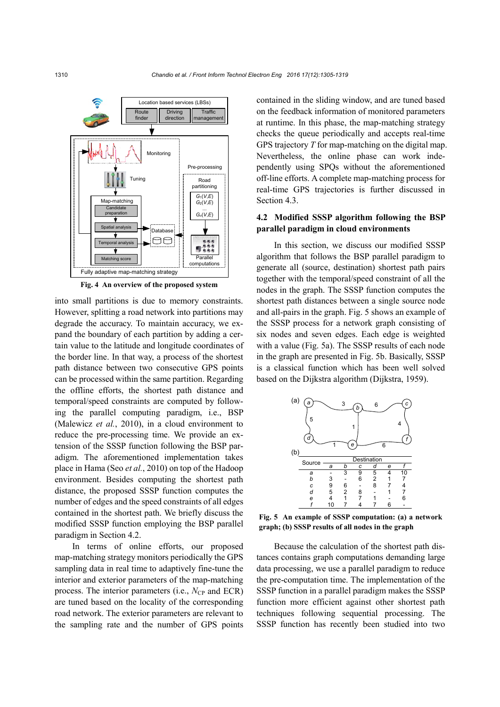

**Fig. 4 An overview of the proposed system**

into small partitions is due to memory constraints. However, splitting a road network into partitions may degrade the accuracy. To maintain accuracy, we expand the boundary of each partition by adding a certain value to the latitude and longitude coordinates of the border line. In that way, a process of the shortest path distance between two consecutive GPS points can be processed within the same partition. Regarding the offline efforts, the shortest path distance and temporal/speed constraints are computed by following the parallel computing paradigm, i.e., BSP (Malewicz *et al.*, 2010), in a cloud environment to reduce the pre-processing time. We provide an extension of the SSSP function following the BSP paradigm. The aforementioned implementation takes place in Hama (Seo *et al.*, 2010) on top of the Hadoop environment. Besides computing the shortest path distance, the proposed SSSP function computes the number of edges and the speed constraints of all edges contained in the shortest path. We briefly discuss the modified SSSP function employing the BSP parallel paradigm in Section 4.2.

In terms of online efforts, our proposed map-matching strategy monitors periodically the GPS sampling data in real time to adaptively fine-tune the interior and exterior parameters of the map-matching process. The interior parameters (i.e.,  $N_{CP}$  and ECR) are tuned based on the locality of the corresponding road network. The exterior parameters are relevant to the sampling rate and the number of GPS points contained in the sliding window, and are tuned based on the feedback information of monitored parameters at runtime. In this phase, the map-matching strategy checks the queue periodically and accepts real-time GPS trajectory *T* for map-matching on the digital map. Nevertheless, the online phase can work independently using SPQs without the aforementioned off-line efforts. A complete map-matching process for real-time GPS trajectories is further discussed in Section 4.3.

# **4.2 Modified SSSP algorithm following the BSP parallel paradigm in cloud environments**

In this section, we discuss our modified SSSP algorithm that follows the BSP parallel paradigm to generate all (source, destination) shortest path pairs together with the temporal/speed constraint of all the nodes in the graph. The SSSP function computes the shortest path distances between a single source node and all-pairs in the graph. Fig. 5 shows an example of the SSSP process for a network graph consisting of six nodes and seven edges. Each edge is weighted with a value (Fig. 5a). The SSSP results of each node in the graph are presented in Fig. 5b. Basically, SSSP is a classical function which has been well solved based on the Dijkstra algorithm (Dijkstra, 1959).



**Fig. 5 An example of SSSP computation: (a) a network graph; (b) SSSP results of all nodes in the graph**

Because the calculation of the shortest path distances contains graph computations demanding large data processing, we use a parallel paradigm to reduce the pre-computation time. The implementation of the SSSP function in a parallel paradigm makes the SSSP function more efficient against other shortest path techniques following sequential processing. The SSSP function has recently been studied into two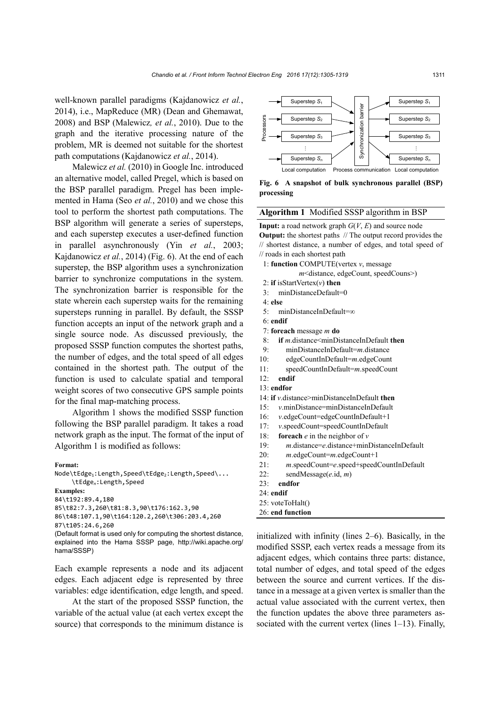well-known parallel paradigms (Kajdanowicz *et al.*, 2014), i.e., MapReduce (MR) (Dean and Ghemawat, 2008) and BSP (Malewicz*, et al.*, 2010). Due to the graph and the iterative processing nature of the problem, MR is deemed not suitable for the shortest path computations (Kajdanowicz *et al.*, 2014).

Malewicz *et al.* (2010) in Google Inc. introduced an alternative model, called Pregel, which is based on the BSP parallel paradigm. Pregel has been implemented in Hama (Seo *et al.*, 2010) and we chose this tool to perform the shortest path computations. The BSP algorithm will generate a series of supersteps, and each superstep executes a user-defined function in parallel asynchronously (Yin *et al.*, 2003; Kajdanowicz *et al.*, 2014) (Fig. 6). At the end of each superstep, the BSP algorithm uses a synchronization barrier to synchronize computations in the system. The synchronization barrier is responsible for the state wherein each superstep waits for the remaining supersteps running in parallel. By default, the SSSP function accepts an input of the network graph and a single source node. As discussed previously, the proposed SSSP function computes the shortest paths, the number of edges, and the total speed of all edges contained in the shortest path. The output of the function is used to calculate spatial and temporal weight scores of two consecutive GPS sample points for the final map-matching process.

Algorithm 1 shows the modified SSSP function following the BSP parallel paradigm. It takes a road network graph as the input. The format of the input of Algorithm 1 is modified as follows:

#### **Format:**

```
Node\tEdge1:Length,Speed\tEdge2:Length,Speed\...
    \tEdgen:Length,Speed
Examples:
84\t192:89.4,180
85\t82:7.3,260\t81:8.3,90\t176:162.3,90
86\t48:107.1,90\t164:120.2,260\t306:203.4,260
87\t105:24.6,260
```
(Default format is used only for computing the shortest distance, explained into the Hama SSSP page, http://wiki.apache.org/ hama/SSSP)

Each example represents a node and its adjacent edges. Each adjacent edge is represented by three variables: edge identification, edge length, and speed.

At the start of the proposed SSSP function, the variable of the actual value (at each vertex except the source) that corresponds to the minimum distance is



**Fig. 6 A snapshot of bulk synchronous parallel (BSP) processing**

## **Algorithm 1** Modified SSSP algorithm in BSP

**Input:** a road network graph *G*(*V*, *E*) and source node **Output:** the shortest paths // The output record provides the // shortest distance, a number of edges, and total speed of // roads in each shortest path

1: **function** COMPUTE(vertex *v*, message

- *m*<distance, edgeCount, speedCouns>)
- 2: **if** isStartVertex(*v*) **then**
- 3: minDistanceDefault=0
- 4: **else**
- 5: minDistanceInDefault=∞
- 6: **endif**
- 7: **foreach** message *m* **do**
- 8: **if** *m*.distance<minDistanceInDefault **then**
- 9: minDistanceInDefault=*m*.distance
- 10: edgeCountInDefault=*m*.edgeCount
- 11: speedCountInDefault=*m*.speedCount
- 12: **endif**
- 13: **endfor**
- 14: **if** *v*.distance>minDistanceInDefault **then**
- 15: *v*.minDistance=minDistanceInDefault
- 16: *v*.edgeCount=edgeCountInDefault+1
- 17: *v*.speedCount=speedCountInDefault
- 18: **foreach** *e* in the neighbor of *v*
- 19: *m*.distance=*e*.distance+minDistanceInDefault
- 20: *m*.edgeCount=*m*.edgeCount+1
- 21: *m*.speedCount=*e*.speed+speedCountInDefault
- 22: sendMessage(*e*.id, *m*)
- 23: **endfor**
- 24: **endif**
- 25: voteToHalt()
- 26: **end function**

initialized with infinity (lines 2–6). Basically, in the modified SSSP, each vertex reads a message from its adjacent edges, which contains three parts: distance, total number of edges, and total speed of the edges between the source and current vertices. If the distance in a message at a given vertex is smaller than the actual value associated with the current vertex, then the function updates the above three parameters associated with the current vertex (lines 1–13). Finally,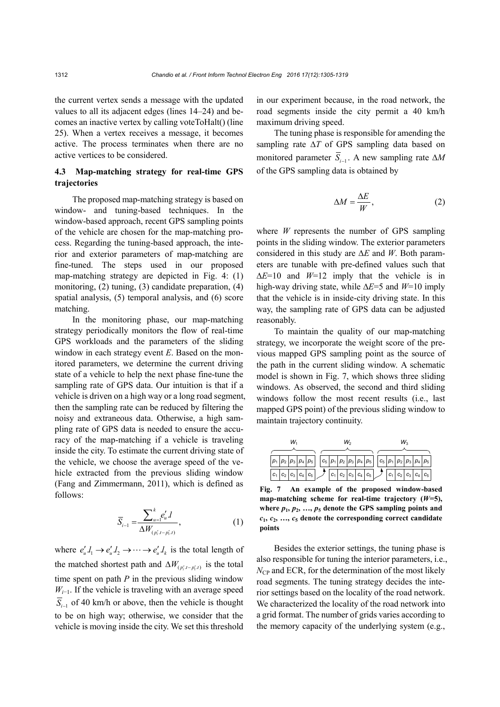the current vertex sends a message with the updated values to all its adjacent edges (lines 14–24) and becomes an inactive vertex by calling voteToHalt() (line 25). When a vertex receives a message, it becomes active. The process terminates when there are no active vertices to be considered.

# **4.3 Map-matching strategy for real-time GPS trajectories**

The proposed map-matching strategy is based on window- and tuning-based techniques. In the window-based approach, recent GPS sampling points of the vehicle are chosen for the map-matching process. Regarding the tuning-based approach, the interior and exterior parameters of map-matching are fine-tuned. The steps used in our proposed map-matching strategy are depicted in Fig. 4: (1) monitoring, (2) tuning, (3) candidate preparation, (4) spatial analysis, (5) temporal analysis, and (6) score matching.

In the monitoring phase, our map-matching strategy periodically monitors the flow of real-time GPS workloads and the parameters of the sliding window in each strategy event *E*. Based on the monitored parameters, we determine the current driving state of a vehicle to help the next phase fine-tune the sampling rate of GPS data. Our intuition is that if a vehicle is driven on a high way or a long road segment, then the sampling rate can be reduced by filtering the noisy and extraneous data. Otherwise, a high sampling rate of GPS data is needed to ensure the accuracy of the map-matching if a vehicle is traveling inside the city. To estimate the current driving state of the vehicle, we choose the average speed of the vehicle extracted from the previous sliding window (Fang and Zimmermann, 2011), which is defined as follows:

$$
\overline{S}_{i-1} = \frac{\sum_{u=1}^{k} e'_u I}{\Delta W_{(p'_i \cdot t - p'_i \cdot t)}},\tag{1}
$$

where  $e'_u \cdot l_1 \rightarrow e'_u \cdot l_2 \rightarrow \cdots \rightarrow e'_u \cdot l_k$  is the total length of the matched shortest path and  $\Delta W_{(p'_i, t - p'_i, t)}$  is the total time spent on path  $P$  in the previous sliding window  $W_{i-1}$ . If the vehicle is traveling with an average speed  $\overline{S}_{i-1}$  of 40 km/h or above, then the vehicle is thought to be on high way; otherwise, we consider that the vehicle is moving inside the city. We set this threshold

in our experiment because, in the road network, the road segments inside the city permit a 40 km/h maximum driving speed.

The tuning phase is responsible for amending the sampling rate ∆*T* of GPS sampling data based on monitored parameter  $\overline{S}_{i-1}$ . A new sampling rate  $\Delta M$ of the GPS sampling data is obtained by

$$
\Delta M = \frac{\Delta E}{W},\tag{2}
$$

where *W* represents the number of GPS sampling points in the sliding window. The exterior parameters considered in this study are ∆*E* and *W*. Both parameters are tunable with pre-defined values such that ∆*E*=10 and *W*=12 imply that the vehicle is in high-way driving state, while ∆*E*=5 and *W*=10 imply that the vehicle is in inside-city driving state. In this way, the sampling rate of GPS data can be adjusted reasonably.

To maintain the quality of our map-matching strategy, we incorporate the weight score of the previous mapped GPS sampling point as the source of the path in the current sliding window. A schematic model is shown in Fig. 7, which shows three sliding windows. As observed, the second and third sliding windows follow the most recent results (i.e., last mapped GPS point) of the previous sliding window to maintain trajectory continuity.



**Fig. 7 An example of the proposed window-based map-matching scheme for real-time trajectory (***W***=5),**  where  $p_1, p_2, ..., p_5$  denote the GPS sampling points and  $c_1, c_2, ..., c_5$  denote the corresponding correct candidate **points**

Besides the exterior settings, the tuning phase is also responsible for tuning the interior parameters, i.e.,  $N_{\rm CP}$  and ECR, for the determination of the most likely road segments. The tuning strategy decides the interior settings based on the locality of the road network. We characterized the locality of the road network into a grid format. The number of grids varies according to the memory capacity of the underlying system (e.g.,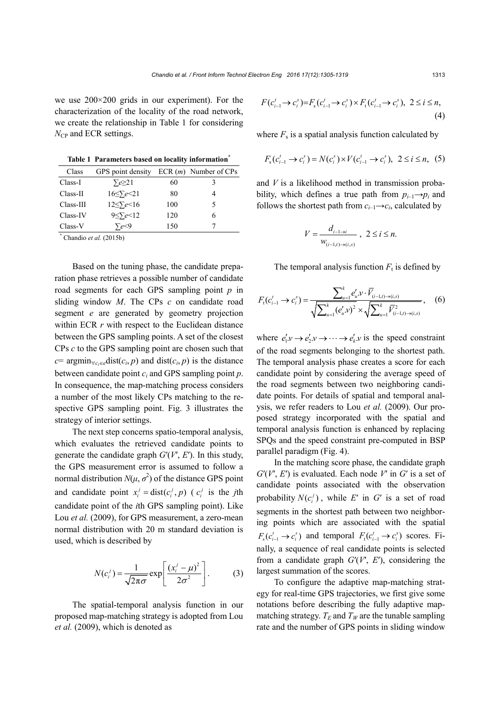we use 200×200 grids in our experiment). For the characterization of the locality of the road network, we create the relationship in Table 1 for considering  $N_{CP}$  and ECR settings.

**Table 1 Parameters based on locality information\***

| Class     | GPS point density $ECR(m)$ Number of CPs |     |   |
|-----------|------------------------------------------|-----|---|
| Class-I   | $\sum e \geq 21$                         | 60  | 3 |
| Class-II  | $16 \leq$ $\geq$ $21$                    | 80  |   |
| Class-III | $12 \leq$ $\sqrt{e}$ $\leq$ 16           | 100 | 5 |
| Class-IV  | $9 \leq$ $\geq$ $e$ $12$                 | 120 | 6 |
| Class-V   | $\degree$ e $\lt$ 9                      | 150 |   |

\* Chandio *et al.* (2015b)

Based on the tuning phase, the candidate preparation phase retrieves a possible number of candidate road segments for each GPS sampling point *p* in sliding window *M*. The CPs *c* on candidate road segment *e* are generated by geometry projection within ECR *r* with respect to the Euclidean distance between the GPS sampling points. A set of the closest CPs *c* to the GPS sampling point are chosen such that  $c = \text{argmin}_{\forall c_i \in e} \text{dist}(c_i, p)$  and  $\text{dist}(c_i, p)$  is the distance between candidate point *ci* and GPS sampling point *p*. In consequence, the map-matching process considers a number of the most likely CPs matching to the respective GPS sampling point. Fig. 3 illustrates the strategy of interior settings.

The next step concerns spatio-temporal analysis, which evaluates the retrieved candidate points to generate the candidate graph *G*′(*V*′, *E*′). In this study, the GPS measurement error is assumed to follow a normal distribution  $N(\mu, \sigma^2)$  of the distance GPS point and candidate point  $x_i^j = \text{dist}(c_i^j, p)$  ( $c_i^j$  is the *j*th candidate point of the *i*th GPS sampling point). Like Lou *et al.* (2009), for GPS measurement, a zero-mean normal distribution with 20 m standard deviation is used, which is described by

$$
N(c_i^j) = \frac{1}{\sqrt{2\pi\sigma}} \exp\left[\frac{(x_i^j - \mu)^2}{2\sigma^2}\right].
$$
 (3)

The spatial-temporal analysis function in our proposed map-matching strategy is adopted from Lou *et al.* (2009), which is denoted as

$$
F(c_{i-1}^t \to c_i^s) = F_s(c_{i-1}^t \to c_i^s) \times F_t(c_{i-1}^t \to c_i^s), \ 2 \le i \le n,
$$
\n(4)

where  $F_s$  is a spatial analysis function calculated by

$$
F_{s}(c_{i-1}^{t} \to c_{i}^{s}) = N(c_{i}^{s}) \times V(c_{i-1}^{t} \to c_{i}^{s}), \ 2 \leq i \leq n, (5)
$$

and *V* is a likelihood method in transmission probability, which defines a true path from  $p_{i-1} \rightarrow p_i$  and follows the shortest path from  $c_{i-1} \rightarrow c_i$ , calculated by

$$
V=\frac{d_{i-1\to i}}{w_{(i-1,t)\to(i,s)}},\ 2\leq i\leq n.
$$

The temporal analysis function  $F_t$  is defined by

$$
F_{t}(c'_{i-1} \to c_{i}^{s}) = \frac{\sum_{u=1}^{k} e'_{u} \cdot \overline{V}_{(i-1,t) \to (i,s)}}{\sqrt{\sum_{u=1}^{k} (e'_{u} \cdot \overline{V})^{2}} \times \sqrt{\sum_{u=1}^{k} \overline{V}_{(i-1,t) \to (i,s)}^{2}}}, \quad (6)
$$

where  $e'_i \rightarrow e'_i \rightarrow \cdots \rightarrow e'_i \rightarrow i$  is the speed constraint of the road segments belonging to the shortest path. The temporal analysis phase creates a score for each candidate point by considering the average speed of the road segments between two neighboring candidate points. For details of spatial and temporal analysis, we refer readers to Lou *et al.* (2009). Our proposed strategy incorporated with the spatial and temporal analysis function is enhanced by replacing SPQs and the speed constraint pre-computed in BSP parallel paradigm (Fig. 4).

In the matching score phase, the candidate graph  $G'(V', E')$  is evaluated. Each node V' in G' is a set of candidate points associated with the observation probability  $N(c_i^j)$ , while *E'* in *G'* is a set of road segments in the shortest path between two neighboring points which are associated with the spatial  $F_s(c_{i-1}^t \rightarrow c_i^s)$  and temporal  $F_t(c_{i-1}^t \rightarrow c_i^s)$  scores. Finally, a sequence of real candidate points is selected from a candidate graph  $G'(V', E')$ , considering the largest summation of the scores.

To configure the adaptive map-matching strategy for real-time GPS trajectories, we first give some notations before describing the fully adaptive mapmatching strategy.  $T_E$  and  $T_W$  are the tunable sampling rate and the number of GPS points in sliding window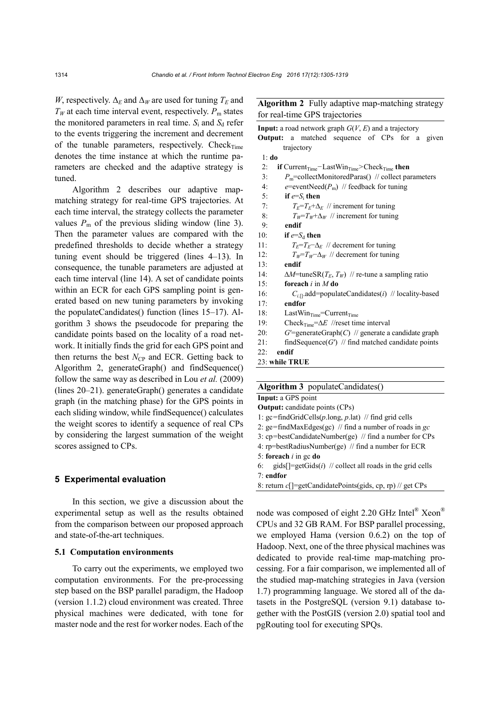*W*, respectively.  $\Delta_E$  and  $\Delta_W$  are used for tuning  $T_E$  and  $T_W$  at each time interval event, respectively.  $P_m$  states the monitored parameters in real time.  $S_i$  and  $S_d$  refer to the events triggering the increment and decrement of the tunable parameters, respectively. Check $_{Time}$ denotes the time instance at which the runtime parameters are checked and the adaptive strategy is tuned.

Algorithm 2 describes our adaptive mapmatching strategy for real-time GPS trajectories. At each time interval, the strategy collects the parameter values  $P_m$  of the previous sliding window (line 3). Then the parameter values are compared with the predefined thresholds to decide whether a strategy tuning event should be triggered (lines 4–13). In consequence, the tunable parameters are adjusted at each time interval (line 14). A set of candidate points within an ECR for each GPS sampling point is generated based on new tuning parameters by invoking the populateCandidates() function (lines 15–17). Algorithm 3 shows the pseudocode for preparing the candidate points based on the locality of a road network. It initially finds the grid for each GPS point and then returns the best  $N_{\text{CP}}$  and ECR. Getting back to Algorithm 2, generateGraph() and findSequence() follow the same way as described in Lou *et al.* (2009) (lines 20–21). generateGraph() generates a candidate graph (in the matching phase) for the GPS points in each sliding window, while findSequence() calculates the weight scores to identify a sequence of real CPs by considering the largest summation of the weight scores assigned to CPs.

#### **5 Experimental evaluation**

In this section, we give a discussion about the experimental setup as well as the results obtained from the comparison between our proposed approach and state-of-the-art techniques.

#### **5.1 Computation environments**

To carry out the experiments, we employed two computation environments. For the pre-processing step based on the BSP parallel paradigm, the Hadoop (version 1.1.2) cloud environment was created. Three physical machines were dedicated, with tone for master node and the rest for worker nodes. Each of the **Algorithm 2** Fully adaptive map-matching strategy for real-time GPS trajectories

| <b>Input:</b> a road network graph $G(V, E)$ and a trajectory                                |  |  |  |
|----------------------------------------------------------------------------------------------|--|--|--|
| <b>Output:</b> a matched sequence of CPs for a given                                         |  |  |  |
| trajectory                                                                                   |  |  |  |
| $1:$ do                                                                                      |  |  |  |
| 2:<br><b>if</b> Current <sub>Time</sub> -LastWin <sub>Time</sub> >Check <sub>Time</sub> then |  |  |  |
| $P_m$ =collectMonitoredParas() // collect parameters<br>3:                                   |  |  |  |
| 4:<br>e=eventNeed( $P_m$ ) // feedback for tuning                                            |  |  |  |
| 5:<br>if $e=S_i$ then                                                                        |  |  |  |
| 7:<br>$T_F = T_F + \Delta_F$ // increment for tuning                                         |  |  |  |
| $T_w = T_w + \Delta_W$ // increment for tuning<br>8:                                         |  |  |  |
| 9:<br>endif                                                                                  |  |  |  |
| 10:<br>if $e=S_d$ then                                                                       |  |  |  |
| 11:<br>$T_E = T_E - \Delta_E$ // decrement for tuning                                        |  |  |  |
| 12:<br>$T_W = T_W - \Delta_W$ // decrement for tuning                                        |  |  |  |
| 13:<br>endif                                                                                 |  |  |  |
| 14:<br>$\Delta M$ =tuneSR( $T_E, T_W$ ) // re-tune a sampling ratio                          |  |  |  |
| 15:<br>foreach $i$ in $M$ do                                                                 |  |  |  |
| 16:<br>$C_{i[1]}$ .add=populateCandidates(i) // locality-based                               |  |  |  |
| endfor<br>17:                                                                                |  |  |  |
| 18:<br>Last $Win_{Time} = Current_{Time}$                                                    |  |  |  |
| Check <sub>Time</sub> = $\Delta E$ //reset time interval<br>19:                              |  |  |  |
| 20:<br>$G'$ =generateGraph $(C)$ // generate a candidate graph                               |  |  |  |
| findSequence( $G'$ ) // find matched candidate points<br>21:                                 |  |  |  |
| 22:<br>endif                                                                                 |  |  |  |
| 23: while TRUE                                                                               |  |  |  |
|                                                                                              |  |  |  |
| Algorithm 3 populateCandidates()                                                             |  |  |  |
| Input: a GPS point                                                                           |  |  |  |

| mput, a vi o pomi                                            |  |  |  |
|--------------------------------------------------------------|--|--|--|
| <b>Output:</b> candidate points (CPs)                        |  |  |  |
| 1: $gc = findGridCells(p, long, p, lat)$ // find grid cells  |  |  |  |
| 2: ge=findMaxEdges(gc) // find a number of roads in gc       |  |  |  |
| 3: cp=bestCandidateNumber(ge) $\#$ find a number for CPs     |  |  |  |
| 4: rp=bestRadiusNumber(ge) $\#$ find a number for ECR        |  |  |  |
| 5: foreach $i$ in gc do                                      |  |  |  |
| 6: gids[]=getGids(i) // collect all roads in the grid cells  |  |  |  |
| $7:$ endfor                                                  |  |  |  |
| 8: return $c$ []=getCandidatePoints(gids, cp, rp) // get CPs |  |  |  |
|                                                              |  |  |  |

node was composed of eight 2.20 GHz Intel® Xeon® CPUs and 32 GB RAM. For BSP parallel processing, we employed Hama (version 0.6.2) on the top of Hadoop. Next, one of the three physical machines was dedicated to provide real-time map-matching processing. For a fair comparison, we implemented all of the studied map-matching strategies in Java (version 1.7) programming language. We stored all of the datasets in the PostgreSQL (version 9.1) database together with the PostGIS (version 2.0) spatial tool and pgRouting tool for executing SPQs.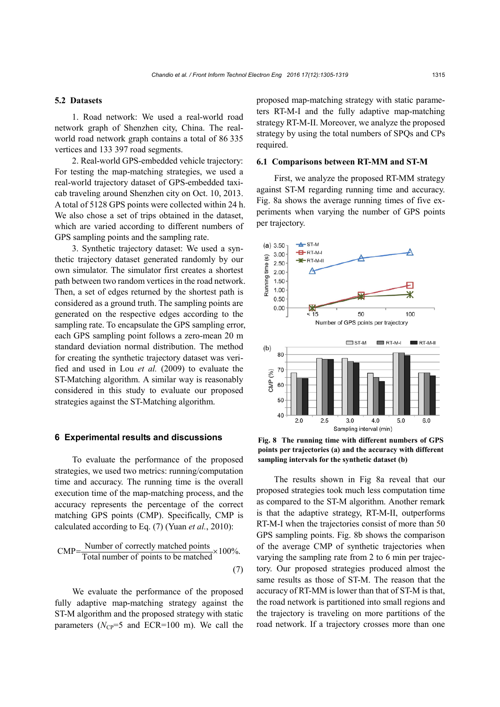# **5.2 Datasets**

1. Road network: We used a real-world road network graph of Shenzhen city, China. The realworld road network graph contains a total of 86 335 vertices and 133 397 road segments.

2. Real-world GPS-embedded vehicle trajectory: For testing the map-matching strategies, we used a real-world trajectory dataset of GPS-embedded taxicab traveling around Shenzhen city on Oct. 10, 2013. A total of 5128 GPS points were collected within 24 h. We also chose a set of trips obtained in the dataset, which are varied according to different numbers of GPS sampling points and the sampling rate.

3. Synthetic trajectory dataset: We used a synthetic trajectory dataset generated randomly by our own simulator. The simulator first creates a shortest path between two random vertices in the road network. Then, a set of edges returned by the shortest path is considered as a ground truth. The sampling points are generated on the respective edges according to the sampling rate. To encapsulate the GPS sampling error, each GPS sampling point follows a zero-mean 20 m standard deviation normal distribution. The method for creating the synthetic trajectory dataset was verified and used in Lou *et al.* (2009) to evaluate the ST-Matching algorithm. A similar way is reasonably considered in this study to evaluate our proposed strategies against the ST-Matching algorithm.

## **6 Experimental results and discussions**

To evaluate the performance of the proposed strategies, we used two metrics: running/computation time and accuracy. The running time is the overall execution time of the map-matching process, and the accuracy represents the percentage of the correct matching GPS points (CMP). Specifically, CMP is calculated according to Eq. (7) (Yuan *et al.*, 2010):

$$
CMP = \frac{Number of correctly matched points}{Total number of points to be matched} \times 100\%.
$$
\n(7)

We evaluate the performance of the proposed fully adaptive map-matching strategy against the ST-M algorithm and the proposed strategy with static parameters  $(N_{CP} = 5$  and ECR=100 m). We call the proposed map-matching strategy with static parameters RT-M-I and the fully adaptive map-matching strategy RT-M-II. Moreover, we analyze the proposed strategy by using the total numbers of SPQs and CPs required.

#### **6.1 Comparisons between RT-MM and ST-M**

First, we analyze the proposed RT-MM strategy against ST-M regarding running time and accuracy. Fig. 8a shows the average running times of five experiments when varying the number of GPS points per trajectory.



**Fig. 8 The running time with different numbers of GPS points per trajectories (a) and the accuracy with different sampling intervals for the synthetic dataset (b)**

The results shown in Fig 8a reveal that our proposed strategies took much less computation time as compared to the ST-M algorithm. Another remark is that the adaptive strategy, RT-M-II, outperforms RT-M-I when the trajectories consist of more than 50 GPS sampling points. Fig. 8b shows the comparison of the average CMP of synthetic trajectories when varying the sampling rate from 2 to 6 min per trajectory. Our proposed strategies produced almost the same results as those of ST-M. The reason that the accuracy of RT-MM is lower than that of ST-M is that, the road network is partitioned into small regions and the trajectory is traveling on more partitions of the road network. If a trajectory crosses more than one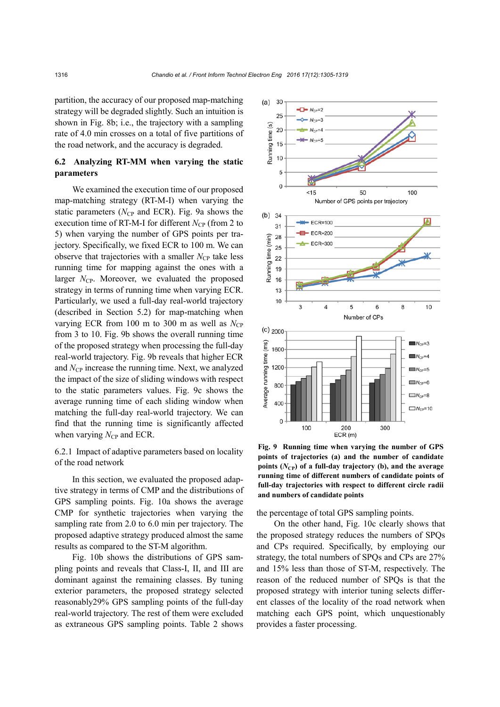partition, the accuracy of our proposed map-matching strategy will be degraded slightly. Such an intuition is shown in Fig. 8b; i.e., the trajectory with a sampling rate of 4.0 min crosses on a total of five partitions of the road network, and the accuracy is degraded.

# **6.2 Analyzing RT-MM when varying the static parameters**

We examined the execution time of our proposed map-matching strategy (RT-M-I) when varying the static parameters  $(N_{CP}$  and ECR). Fig. 9a shows the execution time of RT-M-I for different  $N_{\rm CP}$  (from 2 to 5) when varying the number of GPS points per trajectory. Specifically, we fixed ECR to 100 m. We can observe that trajectories with a smaller  $N_{\rm CP}$  take less running time for mapping against the ones with a larger  $N_{\rm CP}$ . Moreover, we evaluated the proposed strategy in terms of running time when varying ECR. Particularly, we used a full-day real-world trajectory (described in Section 5.2) for map-matching when varying ECR from 100 m to 300 m as well as  $N_{CP}$ from 3 to 10. Fig. 9b shows the overall running time of the proposed strategy when processing the full-day real-world trajectory. Fig. 9b reveals that higher ECR and  $N_{\text{CP}}$  increase the running time. Next, we analyzed the impact of the size of sliding windows with respect to the static parameters values. Fig. 9c shows the average running time of each sliding window when matching the full-day real-world trajectory. We can find that the running time is significantly affected when varying  $N_{\rm CP}$  and ECR.

# 6.2.1 Impact of adaptive parameters based on locality of the road network

In this section, we evaluated the proposed adaptive strategy in terms of CMP and the distributions of GPS sampling points. Fig. 10a shows the average CMP for synthetic trajectories when varying the sampling rate from 2.0 to 6.0 min per trajectory. The proposed adaptive strategy produced almost the same results as compared to the ST-M algorithm.

Fig. 10b shows the distributions of GPS sampling points and reveals that Class-I, II, and III are dominant against the remaining classes. By tuning exterior parameters, the proposed strategy selected reasonably29% GPS sampling points of the full-day real-world trajectory. The rest of them were excluded as extraneous GPS sampling points. Table 2 shows



**Fig. 9 Running time when varying the number of GPS points of trajectories (a) and the number of candidate points**  $(N_{CP})$  of a full-day trajectory (b), and the average **running time of different numbers of candidate points of full-day trajectories with respect to different circle radii and numbers of candidate points**

the percentage of total GPS sampling points.

On the other hand, Fig. 10c clearly shows that the proposed strategy reduces the numbers of SPQs and CPs required. Specifically, by employing our strategy, the total numbers of SPQs and CPs are 27% and 15% less than those of ST-M, respectively. The reason of the reduced number of SPQs is that the proposed strategy with interior tuning selects different classes of the locality of the road network when matching each GPS point, which unquestionably provides a faster processing.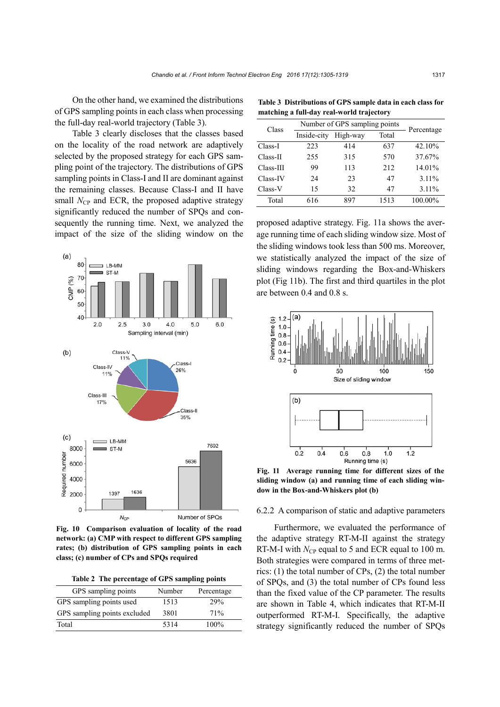On the other hand, we examined the distributions of GPS sampling points in each class when processing the full-day real-world trajectory (Table 3).

Table 3 clearly discloses that the classes based on the locality of the road network are adaptively selected by the proposed strategy for each GPS sampling point of the trajectory. The distributions of GPS sampling points in Class-I and II are dominant against the remaining classes. Because Class-I and II have small  $N_{CP}$  and ECR, the proposed adaptive strategy significantly reduced the number of SPQs and consequently the running time. Next, we analyzed the impact of the size of the sliding window on the



**Fig. 10 Comparison evaluation of locality of the road network: (a) CMP with respect to different GPS sampling rates; (b) distribution of GPS sampling points in each class; (c) number of CPs and SPQs required**

**Table 2 The percentage of GPS sampling points**

| GPS sampling points          | Number | Percentage |
|------------------------------|--------|------------|
| GPS sampling points used     | 1513   | 29%        |
| GPS sampling points excluded | 3801   | 71%        |
| Total                        | 5314   | $100\%$    |

**Table 3 Distributions of GPS sample data in each class for matching a full-day real-world trajectory**

| Class       | Number of GPS sampling points |          |       |            |  |
|-------------|-------------------------------|----------|-------|------------|--|
|             | Inside-city                   | High-way | Total | Percentage |  |
| Class-I     | 223                           | 414      | 637   | 42.10%     |  |
| Class-II    | 255                           | 315      | 570   | 37.67%     |  |
| $Class-III$ | 99                            | 113      | 212   | 14.01%     |  |
| Class-IV    | 24                            | 23       | 47    | $3.11\%$   |  |
| Class-V     | 15                            | 32       | 47    | $3.11\%$   |  |
| Total       | 616                           | 897      | 1513  | 100.00%    |  |

proposed adaptive strategy. Fig. 11a shows the average running time of each sliding window size. Most of the sliding windows took less than 500 ms. Moreover, we statistically analyzed the impact of the size of sliding windows regarding the Box-and-Whiskers plot (Fig 11b). The first and third quartiles in the plot are between 0.4 and 0.8 s.



**Fig. 11 Average running time for different sizes of the sliding window (a) and running time of each sliding window in the Box-and-Whiskers plot (b)**

#### 6.2.2 A comparison of static and adaptive parameters

Furthermore, we evaluated the performance of the adaptive strategy RT-M-II against the strategy RT-M-I with  $N_{CP}$  equal to 5 and ECR equal to 100 m. Both strategies were compared in terms of three metrics: (1) the total number of CPs, (2) the total number of SPQs, and (3) the total number of CPs found less than the fixed value of the CP parameter. The results are shown in Table 4, which indicates that RT-M-II outperformed RT-M-I. Specifically, the adaptive strategy significantly reduced the number of SPQs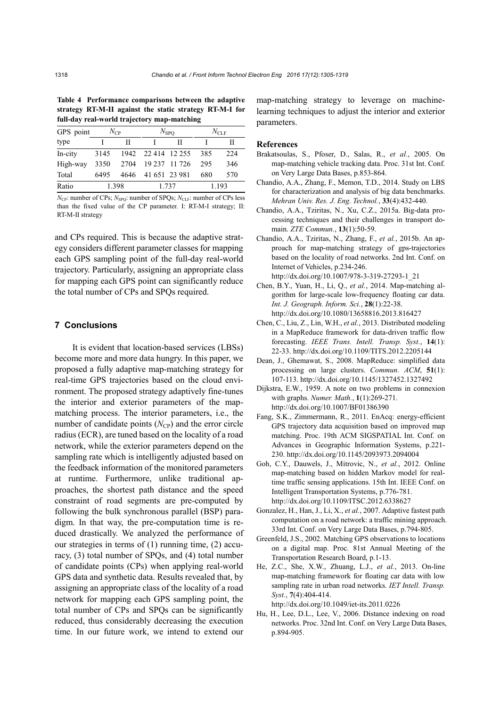**Table 4 Performance comparisons between the adaptive strategy RT-M-II against the static strategy RT-M-I for full-day real-world trajectory map-matching**

| GPS point | $N_{CP}$ |       | $N_{\rm SPO}$      |       | $N_{\rm CLF}$ |       |
|-----------|----------|-------|--------------------|-------|---------------|-------|
| type      |          | Н     |                    | Н     |               | Н     |
| In-city   | 3145     |       | 1942 22 414 12 255 |       | 385           | 224   |
| High-way  | 3350     | 2704  | 19 237 11 726      |       | 295           | 346   |
| Total     | 6495     | 4646  | 41 651 23 981      |       | 680           | 570   |
| Ratio     |          | 1.398 |                    | 1.737 |               | 1.193 |

 $N_{\text{CP}}$ : number of CPs;  $N_{\text{SPO}}$ : number of SPQs;  $N_{\text{CLF}}$ : number of CPs less than the fixed value of the CP parameter. I: RT-M-I strategy; II: RT-M-II strategy

and CPs required. This is because the adaptive strategy considers different parameter classes for mapping each GPS sampling point of the full-day real-world trajectory. Particularly, assigning an appropriate class for mapping each GPS point can significantly reduce the total number of CPs and SPQs required.

# **7 Conclusions**

It is evident that location-based services (LBSs) become more and more data hungry. In this paper, we proposed a fully adaptive map-matching strategy for real-time GPS trajectories based on the cloud environment. The proposed strategy adaptively fine-tunes the interior and exterior parameters of the mapmatching process. The interior parameters, i.e., the number of candidate points  $(N_{CP})$  and the error circle radius (ECR), are tuned based on the locality of a road network, while the exterior parameters depend on the sampling rate which is intelligently adjusted based on the feedback information of the monitored parameters at runtime. Furthermore, unlike traditional approaches, the shortest path distance and the speed constraint of road segments are pre-computed by following the bulk synchronous parallel (BSP) paradigm. In that way, the pre-computation time is reduced drastically. We analyzed the performance of our strategies in terms of (1) running time, (2) accuracy, (3) total number of SPQs, and (4) total number of candidate points (CPs) when applying real-world GPS data and synthetic data. Results revealed that, by assigning an appropriate class of the locality of a road network for mapping each GPS sampling point, the total number of CPs and SPQs can be significantly reduced, thus considerably decreasing the execution time. In our future work, we intend to extend our map-matching strategy to leverage on machinelearning techniques to adjust the interior and exterior parameters.

### **References**

- Brakatsoulas, S., Pfoser, D., Salas, R., *et al.*, 2005. On map-matching vehicle tracking data. Proc. 31st Int. Conf. on Very Large Data Bases, p.853-864.
- Chandio, A.A., Zhang, F., Memon, T.D., 2014. Study on LBS for characterization and analysis of big data benchmarks. *Mehran Univ. Res. J. Eng. Technol.*, **33**(4):432-440.
- Chandio, A.A., Tziritas, N., Xu, C.Z., 2015a. Big-data processing techniques and their challenges in transport domain. *ZTE Commun.*, **13**(1):50-59.
- Chandio, A.A., Tziritas, N., Zhang, F., *et al.*, 2015b. An approach for map-matching strategy of gps-trajectories based on the locality of road networks. 2nd Int. Conf. on Internet of Vehicles, p.234-246. http://dx.doi.org/10.1007/978-3-319-27293-1\_21
- Chen, B.Y., Yuan, H., Li, Q., *et al.*, 2014. Map-matching algorithm for large-scale low-frequency floating car data. *Int. J. Geograph. Inform. Sci.*, **28**(1):22-38. http://dx.doi.org/10.1080/13658816.2013.816427
- Chen, C., Liu, Z., Lin, W.H., *et al.*, 2013. Distributed modeling in a MapReduce framework for data-driven traffic flow forecasting. *IEEE Trans. Intell. Transp. Syst.*, **14**(1): 22-33. http://dx.doi.org/10.1109/TITS.2012.2205144
- Dean, J., Ghemawat, S., 2008. MapReduce: simplified data processing on large clusters. *Commun. ACM*, **51**(1): 107-113. http://dx.doi.org/10.1145/1327452.1327492
- Dijkstra, E.W., 1959. A note on two problems in connexion with graphs. *Numer. Math.*, **1**(1):269-271. http://dx.doi.org/10.1007/BF01386390
- Fang, S.K., Zimmermann, R., 2011. EnAcq: energy-efficient GPS trajectory data acquisition based on improved map matching. Proc. 19th ACM SIGSPATIAL Int. Conf. on Advances in Geographic Information Systems, p.221- 230. http://dx.doi.org/10.1145/2093973.2094004
- Goh, C.Y., Dauwels, J., Mitrovic, N., *et al.*, 2012. Online map-matching based on hidden Markov model for realtime traffic sensing applications. 15th Int. IEEE Conf. on Intelligent Transportation Systems, p.776-781. http://dx.doi.org/10.1109/ITSC.2012.6338627
- Gonzalez, H., Han, J., Li, X., *et al.*, 2007. Adaptive fastest path computation on a road network: a traffic mining approach. 33rd Int. Conf. on Very Large Data Bases, p.794-805.
- Greenfeld, J.S., 2002. Matching GPS observations to locations on a digital map. Proc. 81st Annual Meeting of the Transportation Research Board, p.1-13.
- He, Z.C., She, X.W., Zhuang, L.J., *et al.*, 2013. On-line map-matching framework for floating car data with low sampling rate in urban road networks. *IET Intell. Transp. Syst.*, **7**(4):404-414.

http://dx.doi.org/10.1049/iet-its.2011.0226

Hu, H., Lee, D.L., Lee, V., 2006. Distance indexing on road networks. Proc. 32nd Int. Conf. on Very Large Data Bases, p.894-905.